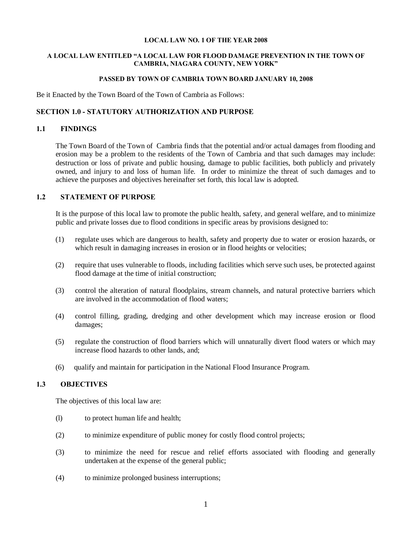#### **LOCAL LAW NO. 1 OF THE YEAR 2008**

#### **A LOCAL LAW ENTITLED "A LOCAL LAW FOR FLOOD DAMAGE PREVENTION IN THE TOWN OF CAMBRIA, NIAGARA COUNTY, NEW YORK"**

#### **PASSED BY TOWN OF CAMBRIA TOWN BOARD JANUARY 10, 2008**

Be it Enacted by the Town Board of the Town of Cambria as Follows:

### **SECTION 1.0 - STATUTORY AUTHORIZATION AND PURPOSE**

### **1.1 FINDINGS**

The Town Board of the Town of Cambria finds that the potential and/or actual damages from flooding and erosion may be a problem to the residents of the Town of Cambria and that such damages may include: destruction or loss of private and public housing, damage to public facilities, both publicly and privately owned, and injury to and loss of human life. In order to minimize the threat of such damages and to achieve the purposes and objectives hereinafter set forth, this local law is adopted.

# **1.2 STATEMENT OF PURPOSE**

It is the purpose of this local law to promote the public health, safety, and general welfare, and to minimize public and private losses due to flood conditions in specific areas by provisions designed to:

- (1) regulate uses which are dangerous to health, safety and property due to water or erosion hazards, or which result in damaging increases in erosion or in flood heights or velocities;
- (2) require that uses vulnerable to floods, including facilities which serve such uses, be protected against flood damage at the time of initial construction;
- (3) control the alteration of natural floodplains, stream channels, and natural protective barriers which are involved in the accommodation of flood waters;
- (4) control filling, grading, dredging and other development which may increase erosion or flood damages;
- (5) regulate the construction of flood barriers which will unnaturally divert flood waters or which may increase flood hazards to other lands, and;
- (6) qualify and maintain for participation in the National Flood Insurance Program.

#### **1.3 OBJECTIVES**

The objectives of this local law are:

- (l) to protect human life and health;
- (2) to minimize expenditure of public money for costly flood control projects;
- (3) to minimize the need for rescue and relief efforts associated with flooding and generally undertaken at the expense of the general public;
- (4) to minimize prolonged business interruptions;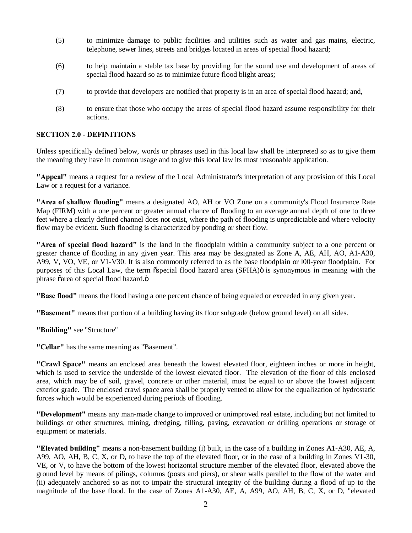- (5) to minimize damage to public facilities and utilities such as water and gas mains, electric, telephone, sewer lines, streets and bridges located in areas of special flood hazard;
- (6) to help maintain a stable tax base by providing for the sound use and development of areas of special flood hazard so as to minimize future flood blight areas;
- (7) to provide that developers are notified that property is in an area of special flood hazard; and,
- (8) to ensure that those who occupy the areas of special flood hazard assume responsibility for their actions.

# **SECTION 2.0 - DEFINITIONS**

Unless specifically defined below, words or phrases used in this local law shall be interpreted so as to give them the meaning they have in common usage and to give this local law its most reasonable application.

**"Appeal"** means a request for a review of the Local Administrator's interpretation of any provision of this Local Law or a request for a variance.

**"Area of shallow flooding"** means a designated AO, AH or VO Zone on a community's Flood Insurance Rate Map (FIRM) with a one percent or greater annual chance of flooding to an average annual depth of one to three feet where a clearly defined channel does not exist, where the path of flooding is unpredictable and where velocity flow may be evident. Such flooding is characterized by ponding or sheet flow.

**"Area of special flood hazard"** is the land in the floodplain within a community subject to a one percent or greater chance of flooding in any given year. This area may be designated as Zone A, AE, AH, AO, A1-A30, A99, V, VO, VE, or V1-V30. It is also commonly referred to as the base floodplain or l00-year floodplain. For purposes of this Local Law, the term  $\tilde{o}$ special flood hazard area (SFHA) $\ddot{o}$  is synonymous in meaning with the phrase õarea of special flood hazard. $\ddot{o}$ 

**"Base flood"** means the flood having a one percent chance of being equaled or exceeded in any given year.

**"Basement"** means that portion of a building having its floor subgrade (below ground level) on all sides.

**"Building"** see "Structure"

**"Cellar"** has the same meaning as "Basement".

**"Crawl Space"** means an enclosed area beneath the lowest elevated floor, eighteen inches or more in height, which is used to service the underside of the lowest elevated floor. The elevation of the floor of this enclosed area, which may be of soil, gravel, concrete or other material, must be equal to or above the lowest adjacent exterior grade. The enclosed crawl space area shall be properly vented to allow for the equalization of hydrostatic forces which would be experienced during periods of flooding.

**"Development"** means any man-made change to improved or unimproved real estate, including but not limited to buildings or other structures, mining, dredging, filling, paving, excavation or drilling operations or storage of equipment or materials.

**"Elevated building"** means a non-basement building (i) built, in the case of a building in Zones A1-A30, AE, A, A99, AO, AH, B, C, X, or D, to have the top of the elevated floor, or in the case of a building in Zones V1-30, VE, or V, to have the bottom of the lowest horizontal structure member of the elevated floor, elevated above the ground level by means of pilings, columns (posts and piers), or shear walls parallel to the flow of the water and (ii) adequately anchored so as not to impair the structural integrity of the building during a flood of up to the magnitude of the base flood. In the case of Zones A1-A30, AE, A, A99, AO, AH, B, C, X, or D, "elevated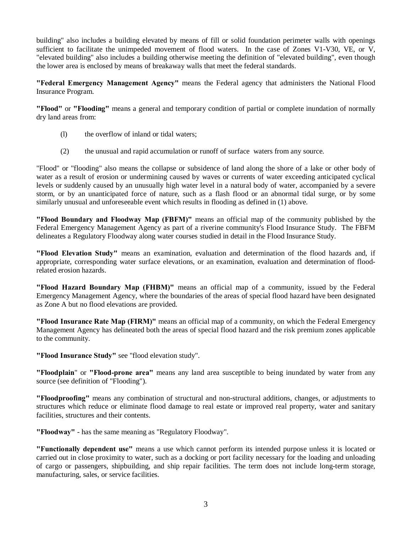building" also includes a building elevated by means of fill or solid foundation perimeter walls with openings sufficient to facilitate the unimpeded movement of flood waters. In the case of Zones V1-V30, VE, or V, "elevated building" also includes a building otherwise meeting the definition of "elevated building", even though the lower area is enclosed by means of breakaway walls that meet the federal standards.

**"Federal Emergency Management Agency"** means the Federal agency that administers the National Flood Insurance Program.

**"Flood"** or **"Flooding"** means a general and temporary condition of partial or complete inundation of normally dry land areas from:

- (l) the overflow of inland or tidal waters;
- (2) the unusual and rapid accumulation or runoff of surface waters from any source.

"Flood" or "flooding" also means the collapse or subsidence of land along the shore of a lake or other body of water as a result of erosion or undermining caused by waves or currents of water exceeding anticipated cyclical levels or suddenly caused by an unusually high water level in a natural body of water, accompanied by a severe storm, or by an unanticipated force of nature, such as a flash flood or an abnormal tidal surge, or by some similarly unusual and unforeseeable event which results in flooding as defined in (1) above.

**"Flood Boundary and Floodway Map (FBFM)"** means an official map of the community published by the Federal Emergency Management Agency as part of a riverine community's Flood Insurance Study. The FBFM delineates a Regulatory Floodway along water courses studied in detail in the Flood Insurance Study.

**"Flood Elevation Study"** means an examination, evaluation and determination of the flood hazards and, if appropriate, corresponding water surface elevations, or an examination, evaluation and determination of floodrelated erosion hazards.

**"Flood Hazard Boundary Map (FHBM)"** means an official map of a community, issued by the Federal Emergency Management Agency, where the boundaries of the areas of special flood hazard have been designated as Zone A but no flood elevations are provided.

**"Flood Insurance Rate Map (FIRM)"** means an official map of a community, on which the Federal Emergency Management Agency has delineated both the areas of special flood hazard and the risk premium zones applicable to the community.

**"Flood Insurance Study"** see "flood elevation study".

**"Floodplain**" or **"Flood-prone area"** means any land area susceptible to being inundated by water from any source (see definition of "Flooding").

**"Floodproofing"** means any combination of structural and non-structural additions, changes, or adjustments to structures which reduce or eliminate flood damage to real estate or improved real property, water and sanitary facilities, structures and their contents.

**"Floodway"** - has the same meaning as "Regulatory Floodway".

**"Functionally dependent use"** means a use which cannot perform its intended purpose unless it is located or carried out in close proximity to water, such as a docking or port facility necessary for the loading and unloading of cargo or passengers, shipbuilding, and ship repair facilities. The term does not include long-term storage, manufacturing, sales, or service facilities.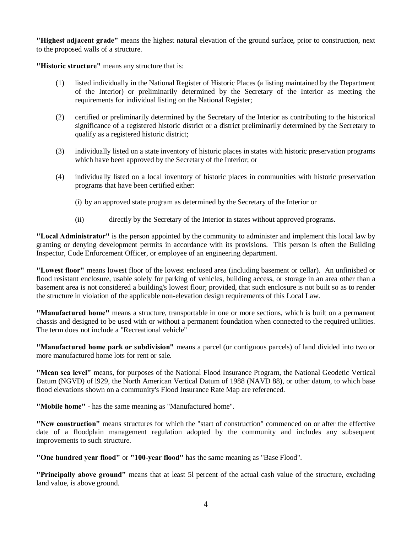**"Highest adjacent grade"** means the highest natural elevation of the ground surface, prior to construction, next to the proposed walls of a structure.

**"Historic structure"** means any structure that is:

- (1) listed individually in the National Register of Historic Places (a listing maintained by the Department of the Interior) or preliminarily determined by the Secretary of the Interior as meeting the requirements for individual listing on the National Register;
- (2) certified or preliminarily determined by the Secretary of the Interior as contributing to the historical significance of a registered historic district or a district preliminarily determined by the Secretary to qualify as a registered historic district;
- (3) individually listed on a state inventory of historic places in states with historic preservation programs which have been approved by the Secretary of the Interior; or
- (4) individually listed on a local inventory of historic places in communities with historic preservation programs that have been certified either:
	- (i) by an approved state program as determined by the Secretary of the Interior or
	- (ii) directly by the Secretary of the Interior in states without approved programs.

**"Local Administrator"** is the person appointed by the community to administer and implement this local law by granting or denying development permits in accordance with its provisions. This person is often the Building Inspector, Code Enforcement Officer, or employee of an engineering department.

**"Lowest floor"** means lowest floor of the lowest enclosed area (including basement or cellar). An unfinished or flood resistant enclosure, usable solely for parking of vehicles, building access, or storage in an area other than a basement area is not considered a building's lowest floor; provided, that such enclosure is not built so as to render the structure in violation of the applicable non-elevation design requirements of this Local Law.

**"Manufactured home"** means a structure, transportable in one or more sections, which is built on a permanent chassis and designed to be used with or without a permanent foundation when connected to the required utilities. The term does not include a "Recreational vehicle"

**"Manufactured home park or subdivision"** means a parcel (or contiguous parcels) of land divided into two or more manufactured home lots for rent or sale.

**"Mean sea level"** means, for purposes of the National Flood Insurance Program, the National Geodetic Vertical Datum (NGVD) of l929, the North American Vertical Datum of 1988 (NAVD 88), or other datum, to which base flood elevations shown on a community's Flood Insurance Rate Map are referenced.

**"Mobile home"** - has the same meaning as "Manufactured home".

**"New construction"** means structures for which the "start of construction" commenced on or after the effective date of a floodplain management regulation adopted by the community and includes any subsequent improvements to such structure.

**"One hundred year flood"** or **"100-year flood"** has the same meaning as "Base Flood".

**"Principally above ground"** means that at least 5l percent of the actual cash value of the structure, excluding land value, is above ground.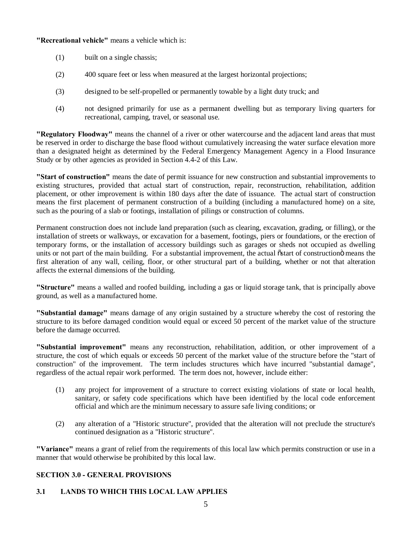# **"Recreational vehicle"** means a vehicle which is:

- (1) built on a single chassis;
- (2) 400 square feet or less when measured at the largest horizontal projections;
- (3) designed to be self-propelled or permanently towable by a light duty truck; and
- (4) not designed primarily for use as a permanent dwelling but as temporary living quarters for recreational, camping, travel, or seasonal use.

**"Regulatory Floodway"** means the channel of a river or other watercourse and the adjacent land areas that must be reserved in order to discharge the base flood without cumulatively increasing the water surface elevation more than a designated height as determined by the Federal Emergency Management Agency in a Flood Insurance Study or by other agencies as provided in Section 4.4-2 of this Law.

**"Start of construction"** means the date of permit issuance for new construction and substantial improvements to existing structures, provided that actual start of construction, repair, reconstruction, rehabilitation, addition placement, or other improvement is within 180 days after the date of issuance. The actual start of construction means the first placement of permanent construction of a building (including a manufactured home) on a site, such as the pouring of a slab or footings, installation of pilings or construction of columns.

Permanent construction does not include land preparation (such as clearing, excavation, grading, or filling), or the installation of streets or walkways, or excavation for a basement, footings, piers or foundations, or the erection of temporary forms, or the installation of accessory buildings such as garages or sheds not occupied as dwelling units or not part of the main building. For a substantial improvement, the actual  $\ddot{\text{o}}$  start of construction means the first alteration of any wall, ceiling, floor, or other structural part of a building, whether or not that alteration affects the external dimensions of the building.

**"Structure"** means a walled and roofed building, including a gas or liquid storage tank, that is principally above ground, as well as a manufactured home.

**"Substantial damage"** means damage of any origin sustained by a structure whereby the cost of restoring the structure to its before damaged condition would equal or exceed 50 percent of the market value of the structure before the damage occurred.

**"Substantial improvement"** means any reconstruction, rehabilitation, addition, or other improvement of a structure, the cost of which equals or exceeds 50 percent of the market value of the structure before the "start of construction" of the improvement. The term includes structures which have incurred "substantial damage", regardless of the actual repair work performed. The term does not, however, include either:

- (1) any project for improvement of a structure to correct existing violations of state or local health, sanitary, or safety code specifications which have been identified by the local code enforcement official and which are the minimum necessary to assure safe living conditions; or
- (2) any alteration of a "Historic structure", provided that the alteration will not preclude the structure's continued designation as a "Historic structure".

**"Variance"** means a grant of relief from the requirements of this local law which permits construction or use in a manner that would otherwise be prohibited by this local law.

# **SECTION 3.0 - GENERAL PROVISIONS**

# **3.1 LANDS TO WHICH THIS LOCAL LAW APPLIES**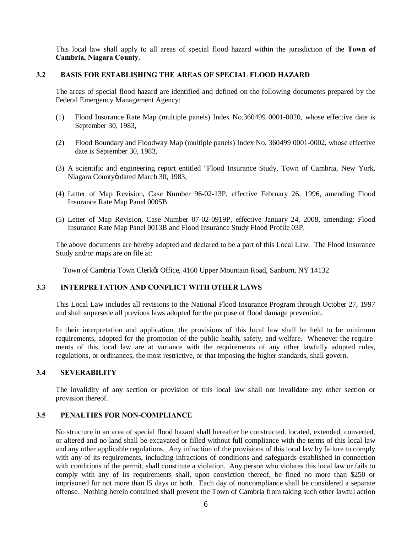This local law shall apply to all areas of special flood hazard within the jurisdiction of the **Town of Cambria, Niagara County**.

### **3.2 BASIS FOR ESTABLISHING THE AREAS OF SPECIAL FLOOD HAZARD**

The areas of special flood hazard are identified and defined on the following documents prepared by the Federal Emergency Management Agency:

- (1) Flood Insurance Rate Map (multiple panels) Index No.360499 0001-0020, whose effective date is September 30, 1983,
- (2) Flood Boundary and Floodway Map (multiple panels) Index No. 360499 0001-0002, whose effective date is September 30, 1983,
- (3) A scientific and engineering report entitled "Flood Insurance Study, Town of Cambria, New York, Niagara Countyö dated March 30, 1983,
- (4) Letter of Map Revision, Case Number 96-02-13P, effective February 26, 1996, amending Flood Insurance Rate Map Panel 0005B.
- (5) Letter of Map Revision, Case Number 07-02-0919P, effective January 24, 2008, amending: Flood Insurance Rate Map Panel 0013B and Flood Insurance Study Flood Profile 03P.

The above documents are hereby adopted and declared to be a part of this Local Law. The Flood Insurance Study and/or maps are on file at:

Town of Cambria Town Clerkøs Office, 4160 Upper Mountain Road, Sanborn, NY 14132

# **3.3 INTERPRETATION AND CONFLICT WITH OTHER LAWS**

This Local Law includes all revisions to the National Flood Insurance Program through October 27, 1997 and shall supersede all previous laws adopted for the purpose of flood damage prevention.

In their interpretation and application, the provisions of this local law shall be held to be minimum requirements, adopted for the promotion of the public health, safety, and welfare. Whenever the requirements of this local law are at variance with the requirements of any other lawfully adopted rules, regulations, or ordinances, the most restrictive, or that imposing the higher standards, shall govern.

# **3.4 SEVERABILITY**

The invalidity of any section or provision of this local law shall not invalidate any other section or provision thereof.

### **3.5 PENALTIES FOR NON-COMPLIANCE**

No structure in an area of special flood hazard shall hereafter be constructed, located, extended, converted, or altered and no land shall be excavated or filled without full compliance with the terms of this local law and any other applicable regulations. Any infraction of the provisions of this local law by failure to comply with any of its requirements, including infractions of conditions and safeguards established in connection with conditions of the permit, shall constitute a violation. Any person who violates this local law or fails to comply with any of its requirements shall, upon conviction thereof, be fined no more than \$250 or imprisoned for not more than l5 days or both. Each day of noncompliance shall be considered a separate offense. Nothing herein contained shall prevent the Town of Cambria from taking such other lawful action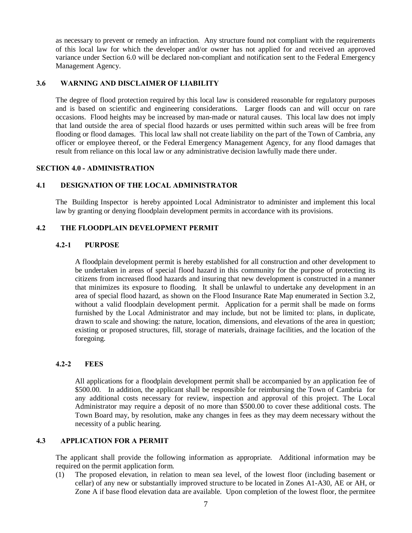as necessary to prevent or remedy an infraction. Any structure found not compliant with the requirements of this local law for which the developer and/or owner has not applied for and received an approved variance under Section 6.0 will be declared non-compliant and notification sent to the Federal Emergency Management Agency.

# **3.6 WARNING AND DISCLAIMER OF LIABILITY**

The degree of flood protection required by this local law is considered reasonable for regulatory purposes and is based on scientific and engineering considerations. Larger floods can and will occur on rare occasions. Flood heights may be increased by man-made or natural causes. This local law does not imply that land outside the area of special flood hazards or uses permitted within such areas will be free from flooding or flood damages. This local law shall not create liability on the part of the Town of Cambria, any officer or employee thereof, or the Federal Emergency Management Agency, for any flood damages that result from reliance on this local law or any administrative decision lawfully made there under.

### **SECTION 4.0 - ADMINISTRATION**

### **4.1 DESIGNATION OF THE LOCAL ADMINISTRATOR**

The Building Inspector is hereby appointed Local Administrator to administer and implement this local law by granting or denying floodplain development permits in accordance with its provisions.

# **4.2 THE FLOODPLAIN DEVELOPMENT PERMIT**

### **4.2-1 PURPOSE**

A floodplain development permit is hereby established for all construction and other development to be undertaken in areas of special flood hazard in this community for the purpose of protecting its citizens from increased flood hazards and insuring that new development is constructed in a manner that minimizes its exposure to flooding. It shall be unlawful to undertake any development in an area of special flood hazard, as shown on the Flood Insurance Rate Map enumerated in Section 3.2, without a valid floodplain development permit. Application for a permit shall be made on forms furnished by the Local Administrator and may include, but not be limited to: plans, in duplicate, drawn to scale and showing: the nature, location, dimensions, and elevations of the area in question; existing or proposed structures, fill, storage of materials, drainage facilities, and the location of the foregoing.

#### **4.2-2 FEES**

All applications for a floodplain development permit shall be accompanied by an application fee of \$500.00. In addition, the applicant shall be responsible for reimbursing the Town of Cambria for any additional costs necessary for review, inspection and approval of this project. The Local Administrator may require a deposit of no more than \$500.00 to cover these additional costs. The Town Board may, by resolution, make any changes in fees as they may deem necessary without the necessity of a public hearing.

### **4.3 APPLICATION FOR A PERMIT**

The applicant shall provide the following information as appropriate. Additional information may be required on the permit application form.

(1) The proposed elevation, in relation to mean sea level, of the lowest floor (including basement or cellar) of any new or substantially improved structure to be located in Zones A1-A30, AE or AH, or Zone A if base flood elevation data are available. Upon completion of the lowest floor, the permitee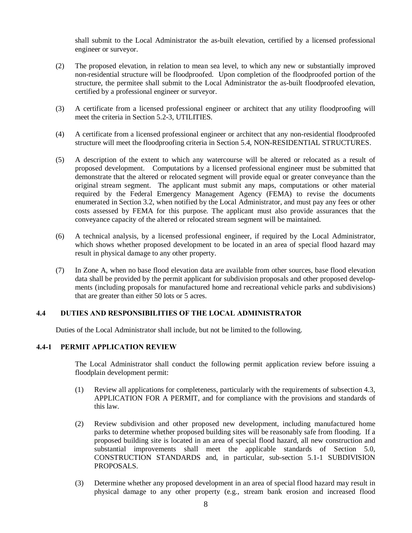shall submit to the Local Administrator the as-built elevation, certified by a licensed professional engineer or surveyor.

- (2) The proposed elevation, in relation to mean sea level, to which any new or substantially improved non-residential structure will be floodproofed. Upon completion of the floodproofed portion of the structure, the permitee shall submit to the Local Administrator the as-built floodproofed elevation, certified by a professional engineer or surveyor.
- (3) A certificate from a licensed professional engineer or architect that any utility floodproofing will meet the criteria in Section 5.2-3, UTILITIES.
- (4) A certificate from a licensed professional engineer or architect that any non-residential floodproofed structure will meet the floodproofing criteria in Section 5.4, NON-RESIDENTIAL STRUCTURES.
- (5) A description of the extent to which any watercourse will be altered or relocated as a result of proposed development. Computations by a licensed professional engineer must be submitted that demonstrate that the altered or relocated segment will provide equal or greater conveyance than the original stream segment. The applicant must submit any maps, computations or other material required by the Federal Emergency Management Agency (FEMA) to revise the documents enumerated in Section 3.2, when notified by the Local Administrator, and must pay any fees or other costs assessed by FEMA for this purpose. The applicant must also provide assurances that the conveyance capacity of the altered or relocated stream segment will be maintained.
- (6) A technical analysis, by a licensed professional engineer, if required by the Local Administrator, which shows whether proposed development to be located in an area of special flood hazard may result in physical damage to any other property.
- (7) In Zone A, when no base flood elevation data are available from other sources, base flood elevation data shall be provided by the permit applicant for subdivision proposals and other proposed developments (including proposals for manufactured home and recreational vehicle parks and subdivisions) that are greater than either 50 lots or 5 acres.

# **4.4 DUTIES AND RESPONSIBILITIES OF THE LOCAL ADMINISTRATOR**

Duties of the Local Administrator shall include, but not be limited to the following.

# **4.4-1 PERMIT APPLICATION REVIEW**

The Local Administrator shall conduct the following permit application review before issuing a floodplain development permit:

- (1) Review all applications for completeness, particularly with the requirements of subsection 4.3, APPLICATION FOR A PERMIT, and for compliance with the provisions and standards of this law.
- (2) Review subdivision and other proposed new development, including manufactured home parks to determine whether proposed building sites will be reasonably safe from flooding. If a proposed building site is located in an area of special flood hazard, all new construction and substantial improvements shall meet the applicable standards of Section 5.0, CONSTRUCTION STANDARDS and, in particular, sub-section 5.1-1 SUBDIVISION PROPOSALS.
- (3) Determine whether any proposed development in an area of special flood hazard may result in physical damage to any other property (e.g., stream bank erosion and increased flood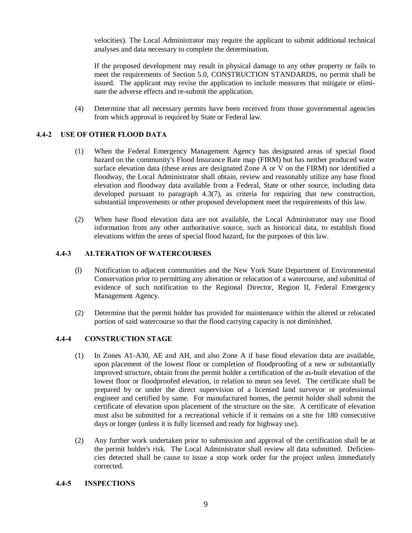velocities). The Local Administrator may require the applicant to submit additional technical analyses and data necessary to complete the determination.

If the proposed development may result in physical damage to any other property or fails to meet the requirements of Section 5.0, CONSTRUCTION STANDARDS, no permit shall be issued. The applicant may revise the application to include measures that mitigate or eliminate the adverse effects and re-submit the application.

(4) Determine that all necessary permits have been received from those governmental agencies from which approval is required by State or Federal law.

# **4.4-2 USE OF OTHER FLOOD DATA**

- (1) When the Federal Emergency Management Agency has designated areas of special flood hazard on the community's Flood Insurance Rate map (FIRM) but has neither produced water surface elevation data (these areas are designated Zone A or V on the FIRM) nor identified a floodway, the Local Administrator shall obtain, review and reasonably utilize any base flood elevation and floodway data available from a Federal, State or other source, including data developed pursuant to paragraph 4.3(7), as criteria for requiring that new construction, substantial improvements or other proposed development meet the requirements of this law.
- (2) When base flood elevation data are not available, the Local Administrator may use flood information from any other authoritative source, such as historical data, to establish flood elevations within the areas of special flood hazard, for the purposes of this law.

# **4.4-3 ALTERATION OF WATERCOURSES**

- (l) Notification to adjacent communities and the New York State Department of Environmental Conservation prior to permitting any alteration or relocation of a watercourse, and submittal of evidence of such notification to the Regional Director, Region II, Federal Emergency Management Agency.
- (2) Determine that the permit holder has provided for maintenance within the altered or relocated portion of said watercourse so that the flood carrying capacity is not diminished.

# **4.4-4 CONSTRUCTION STAGE**

- (1) In Zones A1-A30, AE and AH, and also Zone A if base flood elevation data are available, upon placement of the lowest floor or completion of floodproofing of a new or substantially improved structure, obtain from the permit holder a certification of the as-built elevation of the lowest floor or floodproofed elevation, in relation to mean sea level. The certificate shall be prepared by or under the direct supervision of a licensed land surveyor or professional engineer and certified by same. For manufactured homes, the permit holder shall submit the certificate of elevation upon placement of the structure on the site. A certificate of elevation must also be submitted for a recreational vehicle if it remains on a site for 180 consecutive days or longer (unless it is fully licensed and ready for highway use).
- (2) Any further work undertaken prior to submission and approval of the certification shall be at the permit holder's risk. The Local Administrator shall review all data submitted. Deficiencies detected shall be cause to issue a stop work order for the project unless immediately corrected.

# **4.4-5 INSPECTIONS**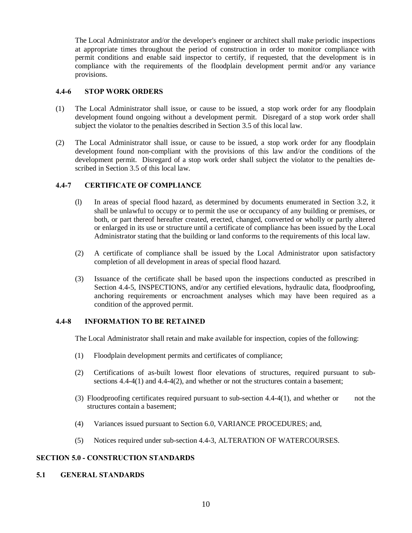The Local Administrator and/or the developer's engineer or architect shall make periodic inspections at appropriate times throughout the period of construction in order to monitor compliance with permit conditions and enable said inspector to certify, if requested, that the development is in compliance with the requirements of the floodplain development permit and/or any variance provisions.

### **4.4-6 STOP WORK ORDERS**

- (1) The Local Administrator shall issue, or cause to be issued, a stop work order for any floodplain development found ongoing without a development permit. Disregard of a stop work order shall subject the violator to the penalties described in Section 3.5 of this local law.
- (2) The Local Administrator shall issue, or cause to be issued, a stop work order for any floodplain development found non-compliant with the provisions of this law and/or the conditions of the development permit. Disregard of a stop work order shall subject the violator to the penalties described in Section 3.5 of this local law.

# **4.4-7 CERTIFICATE OF COMPLIANCE**

- (l) In areas of special flood hazard, as determined by documents enumerated in Section 3.2, it shall be unlawful to occupy or to permit the use or occupancy of any building or premises, or both, or part thereof hereafter created, erected, changed, converted or wholly or partly altered or enlarged in its use or structure until a certificate of compliance has been issued by the Local Administrator stating that the building or land conforms to the requirements of this local law.
- (2) A certificate of compliance shall be issued by the Local Administrator upon satisfactory completion of all development in areas of special flood hazard.
- (3) Issuance of the certificate shall be based upon the inspections conducted as prescribed in Section 4.4-5, INSPECTIONS, and/or any certified elevations, hydraulic data, floodproofing, anchoring requirements or encroachment analyses which may have been required as a condition of the approved permit.

# **4.4-8 INFORMATION TO BE RETAINED**

The Local Administrator shall retain and make available for inspection, copies of the following:

- (1) Floodplain development permits and certificates of compliance;
- (2) Certifications of as-built lowest floor elevations of structures, required pursuant to subsections 4.4-4(1) and 4.4-4(2), and whether or not the structures contain a basement;
- (3) Floodproofing certificates required pursuant to sub-section 4.4-4(1), and whether or not the structures contain a basement;
- (4) Variances issued pursuant to Section 6.0, VARIANCE PROCEDURES; and,
- (5) Notices required under sub-section 4.4-3, ALTERATION OF WATERCOURSES.

# **SECTION 5.0 - CONSTRUCTION STANDARDS**

#### **5.1 GENERAL STANDARDS**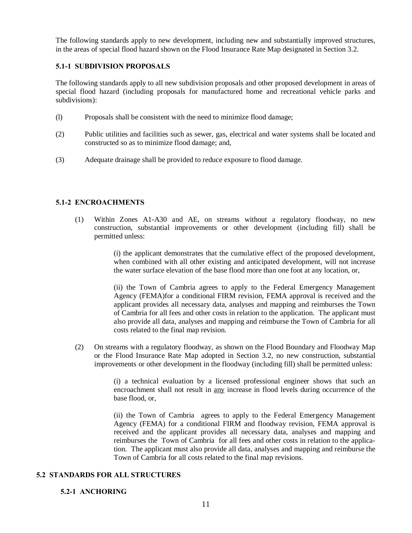The following standards apply to new development, including new and substantially improved structures, in the areas of special flood hazard shown on the Flood Insurance Rate Map designated in Section 3.2.

# **5.1-1 SUBDIVISION PROPOSALS**

The following standards apply to all new subdivision proposals and other proposed development in areas of special flood hazard (including proposals for manufactured home and recreational vehicle parks and subdivisions):

- (l) Proposals shall be consistent with the need to minimize flood damage;
- (2) Public utilities and facilities such as sewer, gas, electrical and water systems shall be located and constructed so as to minimize flood damage; and,
- (3) Adequate drainage shall be provided to reduce exposure to flood damage.

### **5.1-2 ENCROACHMENTS**

(1) Within Zones A1-A30 and AE, on streams without a regulatory floodway, no new construction, substantial improvements or other development (including fill) shall be permitted unless:

> (i) the applicant demonstrates that the cumulative effect of the proposed development, when combined with all other existing and anticipated development, will not increase the water surface elevation of the base flood more than one foot at any location, or,

> (ii) the Town of Cambria agrees to apply to the Federal Emergency Management Agency (FEMA)for a conditional FIRM revision, FEMA approval is received and the applicant provides all necessary data, analyses and mapping and reimburses the Town of Cambria for all fees and other costs in relation to the application. The applicant must also provide all data, analyses and mapping and reimburse the Town of Cambria for all costs related to the final map revision.

(2) On streams with a regulatory floodway, as shown on the Flood Boundary and Floodway Map or the Flood Insurance Rate Map adopted in Section 3.2, no new construction, substantial improvements or other development in the floodway (including fill) shall be permitted unless:

> (i) a technical evaluation by a licensed professional engineer shows that such an encroachment shall not result in any increase in flood levels during occurrence of the base flood, or,

> (ii) the Town of Cambria agrees to apply to the Federal Emergency Management Agency (FEMA) for a conditional FIRM and floodway revision, FEMA approval is received and the applicant provides all necessary data, analyses and mapping and reimburses the Town of Cambria for all fees and other costs in relation to the application. The applicant must also provide all data, analyses and mapping and reimburse the Town of Cambria for all costs related to the final map revisions.

# **5.2 STANDARDS FOR ALL STRUCTURES**

# **5.2-1 ANCHORING**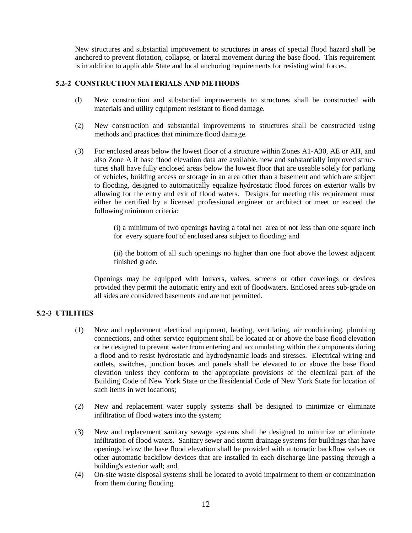New structures and substantial improvement to structures in areas of special flood hazard shall be anchored to prevent flotation, collapse, or lateral movement during the base flood. This requirement is in addition to applicable State and local anchoring requirements for resisting wind forces.

# **5.2-2 CONSTRUCTION MATERIALS AND METHODS**

- (l) New construction and substantial improvements to structures shall be constructed with materials and utility equipment resistant to flood damage.
- (2) New construction and substantial improvements to structures shall be constructed using methods and practices that minimize flood damage.
- (3) For enclosed areas below the lowest floor of a structure within Zones A1-A30, AE or AH, and also Zone A if base flood elevation data are available, new and substantially improved structures shall have fully enclosed areas below the lowest floor that are useable solely for parking of vehicles, building access or storage in an area other than a basement and which are subject to flooding, designed to automatically equalize hydrostatic flood forces on exterior walls by allowing for the entry and exit of flood waters. Designs for meeting this requirement must either be certified by a licensed professional engineer or architect or meet or exceed the following minimum criteria:

(i) a minimum of two openings having a total net area of not less than one square inch for every square foot of enclosed area subject to flooding; and

(ii) the bottom of all such openings no higher than one foot above the lowest adjacent finished grade.

Openings may be equipped with louvers, valves, screens or other coverings or devices provided they permit the automatic entry and exit of floodwaters. Enclosed areas sub-grade on all sides are considered basements and are not permitted.

# **5.2-3 UTILITIES**

- (1) New and replacement electrical equipment, heating, ventilating, air conditioning, plumbing connections, and other service equipment shall be located at or above the base flood elevation or be designed to prevent water from entering and accumulating within the components during a flood and to resist hydrostatic and hydrodynamic loads and stresses. Electrical wiring and outlets, switches, junction boxes and panels shall be elevated to or above the base flood elevation unless they conform to the appropriate provisions of the electrical part of the Building Code of New York State or the Residential Code of New York State for location of such items in wet locations;
- (2) New and replacement water supply systems shall be designed to minimize or eliminate infiltration of flood waters into the system;
- (3) New and replacement sanitary sewage systems shall be designed to minimize or eliminate infiltration of flood waters. Sanitary sewer and storm drainage systems for buildings that have openings below the base flood elevation shall be provided with automatic backflow valves or other automatic backflow devices that are installed in each discharge line passing through a building's exterior wall; and,
- (4) On-site waste disposal systems shall be located to avoid impairment to them or contamination from them during flooding.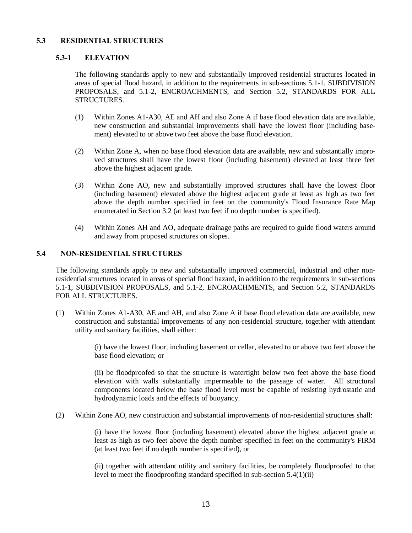# **5.3 RESIDENTIAL STRUCTURES**

# **5.3-1 ELEVATION**

The following standards apply to new and substantially improved residential structures located in areas of special flood hazard, in addition to the requirements in sub-sections 5.1-1, SUBDIVISION PROPOSALS, and 5.1-2, ENCROACHMENTS, and Section 5.2, STANDARDS FOR ALL STRUCTURES.

- (1) Within Zones A1-A30, AE and AH and also Zone A if base flood elevation data are available, new construction and substantial improvements shall have the lowest floor (including basement) elevated to or above two feet above the base flood elevation.
- (2) Within Zone A, when no base flood elevation data are available, new and substantially improved structures shall have the lowest floor (including basement) elevated at least three feet above the highest adjacent grade.
- (3) Within Zone AO, new and substantially improved structures shall have the lowest floor (including basement) elevated above the highest adjacent grade at least as high as two feet above the depth number specified in feet on the community's Flood Insurance Rate Map enumerated in Section 3.2 (at least two feet if no depth number is specified).
- (4) Within Zones AH and AO, adequate drainage paths are required to guide flood waters around and away from proposed structures on slopes.

# **5.4 NON-RESIDENTIAL STRUCTURES**

The following standards apply to new and substantially improved commercial, industrial and other nonresidential structures located in areas of special flood hazard, in addition to the requirements in sub-sections 5.1-1, SUBDIVISION PROPOSALS, and 5.1-2, ENCROACHMENTS, and Section 5.2, STANDARDS FOR ALL STRUCTURES.

(1) Within Zones A1-A30, AE and AH, and also Zone A if base flood elevation data are available, new construction and substantial improvements of any non-residential structure, together with attendant utility and sanitary facilities, shall either:

> (i) have the lowest floor, including basement or cellar, elevated to or above two feet above the base flood elevation; or

> (ii) be floodproofed so that the structure is watertight below two feet above the base flood elevation with walls substantially impermeable to the passage of water. All structural components located below the base flood level must be capable of resisting hydrostatic and hydrodynamic loads and the effects of buoyancy.

(2) Within Zone AO, new construction and substantial improvements of non-residential structures shall:

(i) have the lowest floor (including basement) elevated above the highest adjacent grade at least as high as two feet above the depth number specified in feet on the community's FIRM (at least two feet if no depth number is specified), or

(ii) together with attendant utility and sanitary facilities, be completely floodproofed to that level to meet the floodproofing standard specified in sub-section 5.4(1)(ii)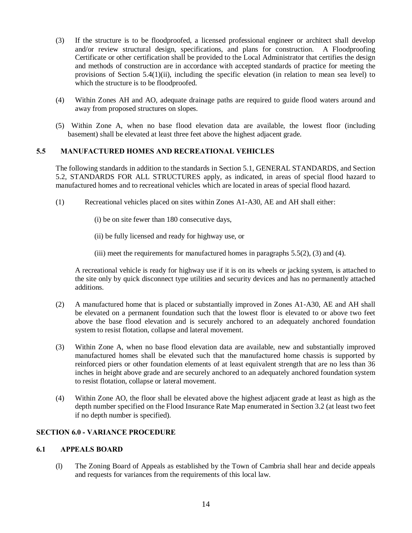- (3) If the structure is to be floodproofed, a licensed professional engineer or architect shall develop and/or review structural design, specifications, and plans for construction. A Floodproofing Certificate or other certification shall be provided to the Local Administrator that certifies the design and methods of construction are in accordance with accepted standards of practice for meeting the provisions of Section 5.4(1)(ii), including the specific elevation (in relation to mean sea level) to which the structure is to be floodproofed.
- (4) Within Zones AH and AO, adequate drainage paths are required to guide flood waters around and away from proposed structures on slopes.
- (5) Within Zone A, when no base flood elevation data are available, the lowest floor (including basement) shall be elevated at least three feet above the highest adjacent grade.

# **5.5 MANUFACTURED HOMES AND RECREATIONAL VEHICLES**

The following standards in addition to the standards in Section 5.1, GENERAL STANDARDS, and Section 5.2, STANDARDS FOR ALL STRUCTURES apply, as indicated, in areas of special flood hazard to manufactured homes and to recreational vehicles which are located in areas of special flood hazard.

- (1) Recreational vehicles placed on sites within Zones A1-A30, AE and AH shall either:
	- (i) be on site fewer than 180 consecutive days,
	- (ii) be fully licensed and ready for highway use, or
	- (iii) meet the requirements for manufactured homes in paragraphs 5.5(2), (3) and (4).

A recreational vehicle is ready for highway use if it is on its wheels or jacking system, is attached to the site only by quick disconnect type utilities and security devices and has no permanently attached additions.

- (2) A manufactured home that is placed or substantially improved in Zones A1-A30, AE and AH shall be elevated on a permanent foundation such that the lowest floor is elevated to or above two feet above the base flood elevation and is securely anchored to an adequately anchored foundation system to resist flotation, collapse and lateral movement.
- (3) Within Zone A, when no base flood elevation data are available, new and substantially improved manufactured homes shall be elevated such that the manufactured home chassis is supported by reinforced piers or other foundation elements of at least equivalent strength that are no less than 36 inches in height above grade and are securely anchored to an adequately anchored foundation system to resist flotation, collapse or lateral movement.
- (4) Within Zone AO, the floor shall be elevated above the highest adjacent grade at least as high as the depth number specified on the Flood Insurance Rate Map enumerated in Section 3.2 (at least two feet if no depth number is specified).

# **SECTION 6.0 - VARIANCE PROCEDURE**

# **6.1 APPEALS BOARD**

(l) The Zoning Board of Appeals as established by the Town of Cambria shall hear and decide appeals and requests for variances from the requirements of this local law.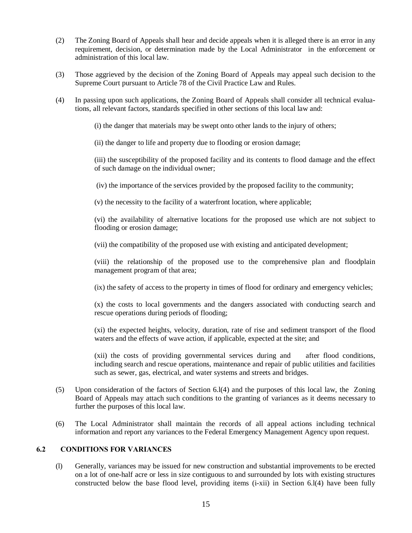- (2) The Zoning Board of Appeals shall hear and decide appeals when it is alleged there is an error in any requirement, decision, or determination made by the Local Administrator in the enforcement or administration of this local law.
- (3) Those aggrieved by the decision of the Zoning Board of Appeals may appeal such decision to the Supreme Court pursuant to Article 78 of the Civil Practice Law and Rules.
- (4) In passing upon such applications, the Zoning Board of Appeals shall consider all technical evaluations, all relevant factors, standards specified in other sections of this local law and:
	- (i) the danger that materials may be swept onto other lands to the injury of others;
	- (ii) the danger to life and property due to flooding or erosion damage;

(iii) the susceptibility of the proposed facility and its contents to flood damage and the effect of such damage on the individual owner;

- (iv) the importance of the services provided by the proposed facility to the community;
- (v) the necessity to the facility of a waterfront location, where applicable;

(vi) the availability of alternative locations for the proposed use which are not subject to flooding or erosion damage;

(vii) the compatibility of the proposed use with existing and anticipated development;

(viii) the relationship of the proposed use to the comprehensive plan and floodplain management program of that area;

(ix) the safety of access to the property in times of flood for ordinary and emergency vehicles;

(x) the costs to local governments and the dangers associated with conducting search and rescue operations during periods of flooding;

(xi) the expected heights, velocity, duration, rate of rise and sediment transport of the flood waters and the effects of wave action, if applicable, expected at the site; and

(xii) the costs of providing governmental services during and after flood conditions, including search and rescue operations, maintenance and repair of public utilities and facilities such as sewer, gas, electrical, and water systems and streets and bridges.

- (5) Upon consideration of the factors of Section 6.l(4) and the purposes of this local law, the Zoning Board of Appeals may attach such conditions to the granting of variances as it deems necessary to further the purposes of this local law.
- (6) The Local Administrator shall maintain the records of all appeal actions including technical information and report any variances to the Federal Emergency Management Agency upon request.

# **6.2 CONDITIONS FOR VARIANCES**

(l) Generally, variances may be issued for new construction and substantial improvements to be erected on a lot of one-half acre or less in size contiguous to and surrounded by lots with existing structures constructed below the base flood level, providing items (i-xii) in Section 6.l(4) have been fully